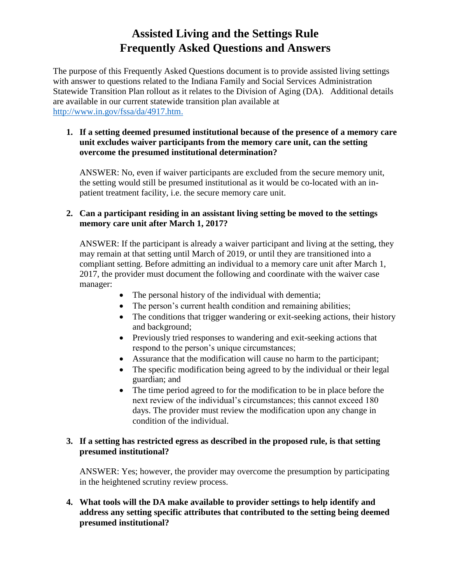# **Assisted Living and the Settings Rule Frequently Asked Questions and Answers**

The purpose of this Frequently Asked Questions document is to provide assisted living settings with answer to questions related to the Indiana Family and Social Services Administration Statewide Transition Plan rollout as it relates to the Division of Aging (DA). Additional details are available in our current statewide transition plan available at [http://www.in.gov/fssa/da/4917.htm.](http://www.in.gov/fssa/da/4917.htm)

#### **1. If a setting deemed presumed institutional because of the presence of a memory care unit excludes waiver participants from the memory care unit, can the setting overcome the presumed institutional determination?**

ANSWER: No, even if waiver participants are excluded from the secure memory unit, the setting would still be presumed institutional as it would be co-located with an inpatient treatment facility, i.e. the secure memory care unit.

### **2. Can a participant residing in an assistant living setting be moved to the settings memory care unit after March 1, 2017?**

ANSWER: If the participant is already a waiver participant and living at the setting, they may remain at that setting until March of 2019, or until they are transitioned into a compliant setting. Before admitting an individual to a memory care unit after March 1, 2017, the provider must document the following and coordinate with the waiver case manager:

- The personal history of the individual with dementia;
- The person's current health condition and remaining abilities;
- The conditions that trigger wandering or exit-seeking actions, their history and background;
- Previously tried responses to wandering and exit-seeking actions that respond to the person's unique circumstances;
- Assurance that the modification will cause no harm to the participant;
- The specific modification being agreed to by the individual or their legal guardian; and
- The time period agreed to for the modification to be in place before the next review of the individual's circumstances; this cannot exceed 180 days. The provider must review the modification upon any change in condition of the individual.

### **3. If a setting has restricted egress as described in the proposed rule, is that setting presumed institutional?**

ANSWER: Yes; however, the provider may overcome the presumption by participating in the heightened scrutiny review process.

**4. What tools will the DA make available to provider settings to help identify and address any setting specific attributes that contributed to the setting being deemed presumed institutional?**